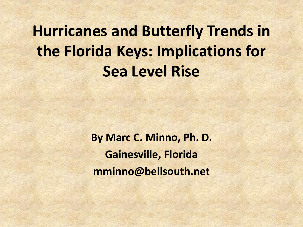**Hurricanes and Butterfly Trends in the Florida Keys: Implications for Sea Level Rise**

> **By Marc C. Minno, Ph. D. Gainesville, Florida mminno@bellsouth.net**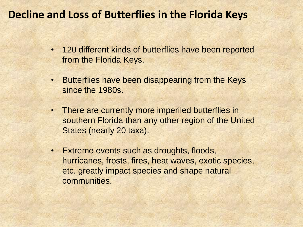#### **Decline and Loss of Butterflies in the Florida Keys**

- 120 different kinds of butterflies have been reported from the Florida Keys.
- Butterflies have been disappearing from the Keys since the 1980s.
- There are currently more imperiled butterflies in southern Florida than any other region of the United States (nearly 20 taxa).
- Extreme events such as droughts, floods, hurricanes, frosts, fires, heat waves, exotic species, etc. greatly impact species and shape natural communities.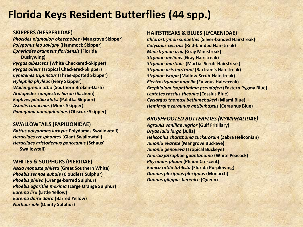# **Florida Keys Resident Butterflies (44 spp.)**

#### **SKIPPERS (HESPERIIDAE)**

*Phocides pigmalion okeechobee* **(Mangrove Skipper)** *Polygonus leo savigny* **(Hammock Skipper)** *Ephyriades brunneus floridensis* **(Florida Duskywing)**

*Pyrgus albescens* **(White Checkered-Skipper)** *Pyrgus oileus* **(Tropical Checkered-Skipper)** *Cymaenes tripunctus* **(Three-spotted Skipper)** *Hylephila phyleus* **(Fiery Skipper)** *Wallengrenia otho* **(Southern Broken-Dash)** *Atalopedes campestris huron* **(Sachem)** *Euphyes pilatka klotsi* **(Palatka Skipper)** *Asbolis capucinus* **(Monk Skipper)** *Panoquina panoquinoides* **(Obscure Skipper)**

#### **SWALLOWTAILS (PAPILIONIDAE)**

*Battus polydamas lucayus* **Polydamas Swallowtail)** *Heraclides cresphontes* **(Giant Swallowtail)** *Heraclides aristodemus ponceanus* **(Schaus' Swallowtail)**

#### **WHITES & SULPHURS (PIERIDAE)**

*Ascia monuste phileta* **(Great Southern White)** *Phoebis sennae eubule* **(Cloudless Sulphur)** *Phoebis philea* **(Orange-barred Sulphur)** *Phoebis agarithe maxima* **(Large Orange Sulphur)** *Eurema lisa* **(Little Yellow)** *Eurema daira daira* **(Barred Yellow)** *Nathalis iole* **(Dainty Sulphur)**

#### **HAIRSTREAKS & BLUES (LYCAENIDAE)**

*Chlorostrymon simaethis* **(Silver-banded Hairstreak)** *Calycopis cecrops* **(Red-banded Hairstreak)** *Ministrymon azia* **(Gray Ministreak)** *Strymon melinus* **(Gray Hairstreak)** *Strymon martialis* **(Martial Scrub-Hairstreak)** *Strymon acis bartrami* **(Bartram's Hairstreak)** *Strymon istapa* **(Mallow Scrub-Hairstreak)** *Electrostrymon angelia* **(Fulvous Hairstreak)** *Brephidium isophthalma pseudofea* **(Eastern Pygmy Blue)** *Leptotes cassius theonus* **(Cassius Blue)** *Cyclargus thomasi bethunebakeri* **(Miami Blue)** *Hemiargus ceraunus antibubastus* **(Ceraunus Blue)**

#### *BRUSHFOOTED BUTTERFLIES (NYMPHALIDAE)*

*Agraulis vanillae nigrior* **(Gulf Fritillary)** *Dryas iulia largo* **(Julia)** *Heliconius charithonia tuckerorum* **(Zebra Heliconian)** *Junonia evarete* **(Mangrove Buckeye)** *Junonia genoveva* **(Tropical Buckeye)** *Anartia jatrophae guantanamo* **(White Peacock)** *Phyciodes phaon* **(Phaon Crescent)** *Eunica tatila tatilista* **(Florida Purplewing)** *Danaus plexippus plexippus* **(Monarch)** *Danaus gilippus berenice* **(Queen)**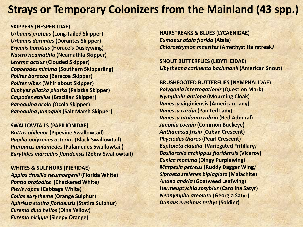## **Strays or Temporary Colonizers from the Mainland (43 spp.)**

#### **SKIPPERS (HESPERIIDAE)**

*Urbanus proteus* **(Long-tailed Skipper)** *Urbanus dorantes* **(Dorantes Skipper)** *Erynnis horatius* **(Horace's Duskywing)** *Nastra neamathla* **(Neamathla Skipper)** *Lerema accius* **(Clouded Skipper)** *Copaeodes minima* **(Southern Skipperling)** *Polites baracoa* **(Baracoa Skipper)** *Polites vibex* **(Whirlabout Skipper)** *Euphyes pilatka pilatka* **(Palatka Skipper)** *Calpodes ethlius* **(Brazilian Skipper)** *Panoquina ocola (***Ocola Skipper)** *Panoquina panoquin* **(Salt Marsh Skipper)**

**SWALLOWTAILS (PAPILIONIDAE)** *Battus philenor* **(Pipevine Swallowtail)** *Papilio polyxenes asterius* **(Black Swallowtail)** *Pterourus palamedes* **(Palamedes Swallowtail)** *Eurytides marcellus floridensis* **(Zebra Swallowtail)**

**WHITES & SULPHURS (PIERIDAE)** *Appias drusilla neumoegenii* **(Florida White)** *Pontia protodice* **(Checkered White)** *Pieris rapae* **(Cabbage White)** *Colias eurytheme* **(Orange Sulphur)** *Aphrissa statira floridensis* **(Statira Sulphur)** *Eurema dina helios* **(Dina Yellow)** *Eurema nicippe* **(Sleepy Orange)**

**HAIRSTREAKS & BLUES (LYCAENIDAE)** *Eumaeus atala florida* **(Atala)** *Chlorostrymon maesites* **(Amethyst Hairstreak***)*

**SNOUT BUTTERFLIES (LIBYTHEIDAE)** *Libytheana carinenta bachmanii* **(American Snout)**

#### **BRUSHFOOTED BUTTERFLIES (NYMPHALIDAE)** *Polygonia interrogationis***(Question Mark)** *Nymphalis antiopa* **(Mourning Cloak)** *Vanessa* **virginiensis (American Lady)** *Vanessa cardui* **(Painted Lady)** *Vanessa atalanta rubria* **(Red Admiral)** *Junonia coenia* **(Common Buckeye)** *Anthanassa frisia* (**Cuban Crescent)** *Phyciodes tharos* **(Pearl Crescent)** *Euptoieta claudia* **(Variegated Fritillary***) Basilarchia archippus floridensis* **(Viceroy)** *Eunica monima* **(Dingy Purplewing)** *Marpesia petreus* **(Ruddy Dagger Wing***) Siproeta stelenes biplagiata* **(Malachite)** *Anaea andria* **(Goatweed Leafwing)** *Hermeuptychia sosybius* **(Carolina Satyr)** *Neonympha areolata* **(Georgia Satyr)**

*Danaus eresimus tethys* **(Soldier)**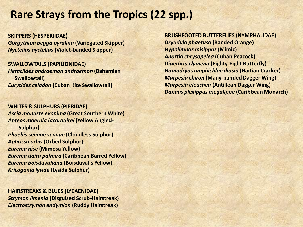### **Rare Strays from the Tropics (22 spp.)**

**SKIPPERS (HESPERIIDAE)** *Gorgythion begga pyralina* **(Variegated Skipper)** *Nyctelius nyctelius* **(Violet-banded Skipper)**

**SWALLOWTAILS (PAPILIONIDAE)** *Heraclides andraemon andraemon* **(Bahamian Swallowtail)** *Eurytides celadon* **(Cuban Kite Swallowtail)**

**WHITES & SULPHURS (PIERIDAE)** *Ascia monuste evonima* **(Great Southern White)** *Anteos maerula lacordairei* **(Yellow Angled-Sulphur)** *Phoebis sennae sennae* **(Cloudless Sulphur)** *Aphrissa orbis* **(Orbed Sulphur)** *Eurema nise* **(Mimosa Yellow)** *Eurema daira palmira* **(Caribbean Barred Yellow)** *Eurema boisduvaliana* **(Boisduval's Yellow)** *Kricogonia lyside* **(Lyside Sulphur)**

**HAIRSTREAKS & BLUES (LYCAENIDAE)** *Strymon limenia* **(Disguised Scrub-Hairstreak)** *Electrostrymon endymion* **(Ruddy Hairstreak)**

#### **BRUSHFOOTED BUTTERFLIES (NYMPHALIDAE)**

*Dryadula phaetusa* **(Banded Orange)** *Hypolimnas misippus* **(Mimic)** *Anartia chrysopelea* **(Cuban Peacock)** *Diaethria clymena* **(Eighty-Eight Butterfly)** *Hamadryas amphichloe diasia* **(Haitian Cracker)** *Marpesia chiron* **(Many-banded Dagger Wing)** *Marpesia eleuchea* **(Antillean Dagger Wing)** *Danaus plexippus megalippe* **(Caribbean Monarch)**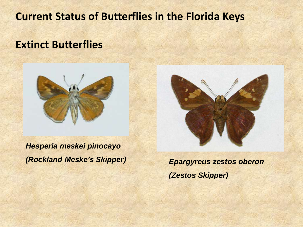**Current Status of Butterflies in the Florida Keys**

#### **Extinct Butterflies**



*Hesperia meskei pinocayo (Rockland Meske's Skipper) Epargyreus zestos oberon*

*(Zestos Skipper)*

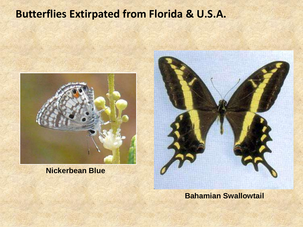# **Butterflies Extirpated from Florida & U.S.A.**



**Nickerbean Blue**



**Bahamian Swallowtail**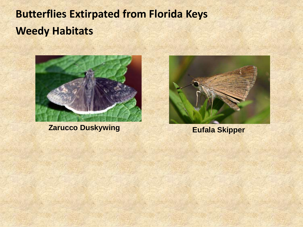# **Butterflies Extirpated from Florida Keys Weedy Habitats**



**Zarucco Duskywing Eufala Skipper** 

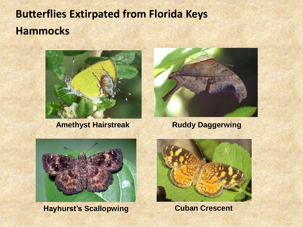# **Butterflies Extirpated from Florida Keys Hammocks**



**Amethyst Hairstreak**



**Ruddy Daggerwing**



**Hayhurst's Scallopwing Cuban Crescent** 

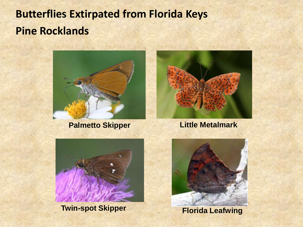# **Butterflies Extirpated from Florida Keys Pine Rocklands**



**Palmetto Skipper**



#### **Little Metalmark**



**Twin-spot Skipper**



**Florida Leafwing**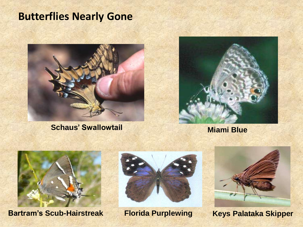## **Butterflies Nearly Gone**



**Schaus' Swallowtail Miami Blue** 





**Bartram's Scub-Hairstreak Florida Purplewing**





**Keys Palataka Skipper**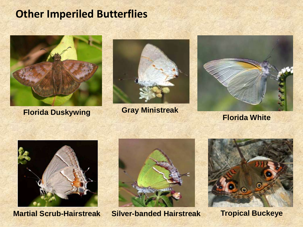### **Other Imperiled Butterflies**



**Florida White Florida Duskywing Gray Ministreak**







**Martial Scrub-Hairstreak Silver-banded Hairstreak Tropical Buckeye**



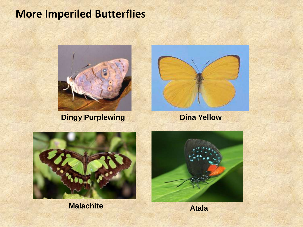# **More Imperiled Butterflies**



**Dingy Purplewing bina Yellow** 





**Malachite**

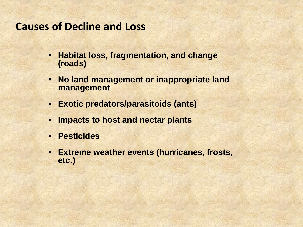#### **Causes of Decline and Loss**

- **Habitat loss, fragmentation, and change (roads)**
- **No land management or inappropriate land management**
- **Exotic predators/parasitoids (ants)**
- **Impacts to host and nectar plants**
- **Pesticides**
- **Extreme weather events (hurricanes, frosts, etc.)**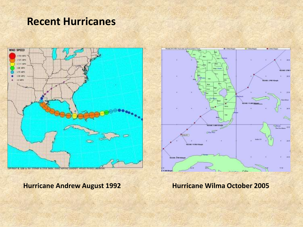#### **Recent Hurricanes**



**Hurricane Andrew August 1992 Hurricane Wilma October 2005**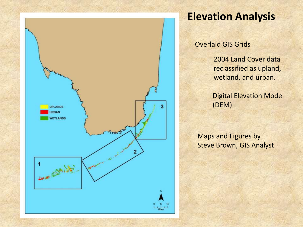

# **Elevation Analysis**

Overlaid GIS Grids

2004 Land Cover data reclassified as upland, wetland, and urban.

Digital Elevation Model (DEM)

Maps and Figures by Steve Brown, GIS Analyst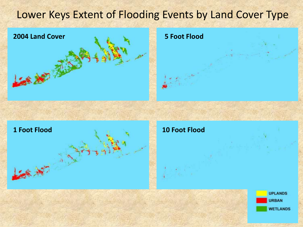# Lower Keys Extent of Flooding Events by Land Cover Type



**5 Foot Flood**



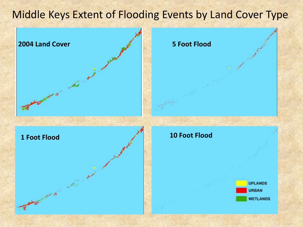# Middle Keys Extent of Flooding Events by Land Cover Type

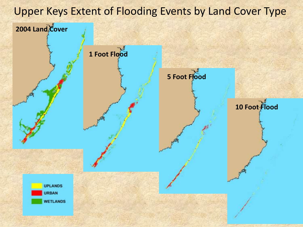# Upper Keys Extent of Flooding Events by Land Cover Type **2004 Land Cover 1 Foot Flood 5 Foot Flood 10 Foot FloodUPLANDS URBAN WETLANDS**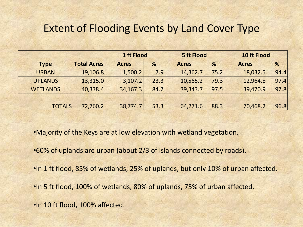#### Extent of Flooding Events by Land Cover Type

|                 |                    | 1 ft Flood   |      | <b>5 ft Flood</b> |      | 10 ft Flood  |      |
|-----------------|--------------------|--------------|------|-------------------|------|--------------|------|
| <b>Type</b>     | <b>Total Acres</b> | <b>Acres</b> | %    | <b>Acres</b>      | %    | <b>Acres</b> | %    |
| <b>URBAN</b>    | 19,106.8           | 1,500.2      | 7.9  | 14,362.7          | 75.2 | 18,032.5     | 94.4 |
| <b>UPLANDS</b>  | 13,315.0           | 3,107.2      | 23.3 | 10,565.2          | 79.3 | 12,964.8     | 97.4 |
| <b>WETLANDS</b> | 40,338.4           | 34,167.3     | 84.7 | 39,343.7          | 97.5 | 39,470.9     | 97.8 |
|                 |                    |              |      |                   |      |              |      |
| <b>TOTALS</b>   | 72,760.2           | 38,774.7     | 53.3 | 64,271.6          | 88.3 | 70,468.2     | 96.8 |

•Majority of the Keys are at low elevation with wetland vegetation.

- •60% of uplands are urban (about 2/3 of islands connected by roads).
- •In 1 ft flood, 85% of wetlands, 25% of uplands, but only 10% of urban affected.
- •In 5 ft flood, 100% of wetlands, 80% of uplands, 75% of urban affected.
- •In 10 ft flood, 100% affected.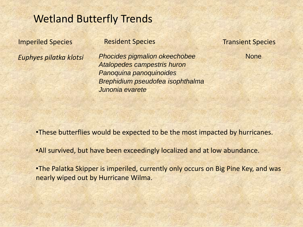#### Wetland Butterfly Trends

*Euphyes pilatka klotsi* 

#### **Imperiled Species** Resident Species Transient Species

*Phocides pigmalion okeechobee Atalopedes campestris huron Panoquina panoquinoides Brephidium pseudofea isophthalma Junonia evarete*

None

•These butterflies would be expected to be the most impacted by hurricanes.

•All survived, but have been exceedingly localized and at low abundance.

•The Palatka Skipper is imperiled, currently only occurs on Big Pine Key, and was nearly wiped out by Hurricane Wilma.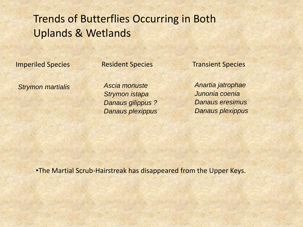# Trends of Butterflies Occurring in Both Uplands & Wetlands

Imperiled Species Resident Species Transient Species

*Strymon martialis*

*Ascia monuste Strymon istapa Danaus gilippus ? Danaus plexippus*

*Anartia jatrophae Junonia coenia Danaus eresimus Danaus plexippus*

•The Martial Scrub-Hairstreak has disappeared from the Upper Keys.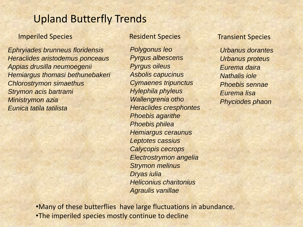### Upland Butterfly Trends

#### **Imperiled Species Resident Species**

*Ephryiades brunneus floridensis Heraclides aristodemus ponceaus Appias drusilla neumoegenii Hemiargus thomasi bethunebakeri Chlorostrymon simaethus Strymon acis bartrami Ministrymon azia Eunica tatila tatilista*

*Polygonus leo Pyrgus albescens Pyrgus oileus Asbolis capucinus Cymaenes tripunctus Hylephila phyleus Wallengrenia otho Heraclides cresphontes Phoebis agarithe Phoebis philea Hemiargus ceraunus Leptotes cassius Calycopis cecrops Electrostrymon angelia Strymon melinus Dryas iulia Heliconius charitonius Agraulis vanillae*

#### Transient Species

*Urbanus dorantes Urbanus proteus Eurema daira Nathalis iole Phoebis sennae Eurema lisa Phyciodes phaon*

•Many of these butterflies have large fluctuations in abundance. •The imperiled species mostly continue to decline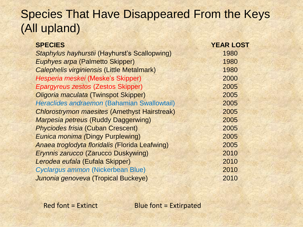# Species That Have Disappeared From the Keys (All upland)

| <b>SPECIES</b>                                      | <b>YEAR LOST</b> |
|-----------------------------------------------------|------------------|
| Staphylus hayhurstii (Hayhurst's Scallopwing)       | 1980             |
| <b>Euphyes arpa (Palmetto Skipper)</b>              | 1980             |
| <b>Calephelis virginiensis (Little Metalmark)</b>   | 1980             |
| Hesperia meskei (Meske's Skipper)                   | 2000             |
| <b>Epargyreus zestos (Zestos Skipper)</b>           | 2005             |
| Oligoria maculata (Twinspot Skipper)                | 2005             |
| Heraclides andraemon (Bahamian Swallowtail)         | 2005             |
| <b>Chlorostrymon maesites (Amethyst Hairstreak)</b> | 2005             |
| <b>Marpesia petreus (Ruddy Daggerwing)</b>          | 2005             |
| <b>Phyciodes frisia (Cuban Crescent)</b>            | 2005             |
| <b>Eunica monima (Dingy Purplewing)</b>             | 2005             |
| Anaea troglodyta floridalis (Florida Leafwing)      | 2005             |
| <b>Erynnis zarucco (Zarucco Duskywing)</b>          | 2010             |
| Lerodea eufala (Eufala Skipper)                     | 2010             |
| Cyclargus ammon (Nickerbean Blue)                   | 2010             |
| Junonia genoveva (Tropical Buckeye)                 | 2010             |

Red font = Extinct Blue font = Extirpated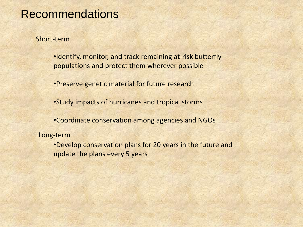### **Recommendations**

Short-term

•Identify, monitor, and track remaining at-risk butterfly populations and protect them wherever possible

•Preserve genetic material for future research

•Study impacts of hurricanes and tropical storms

•Coordinate conservation among agencies and NGOs

Long-term

•Develop conservation plans for 20 years in the future and update the plans every 5 years